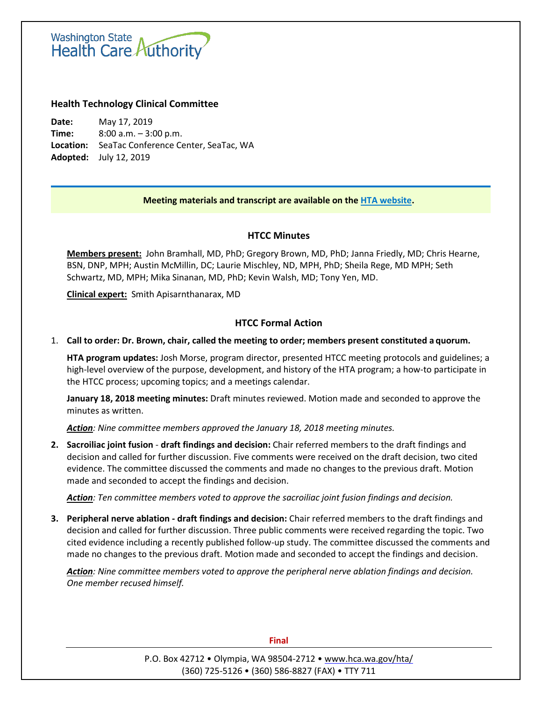# Washington State<br>Health Care Authority

## **Health Technology Clinical Committee**

**Date:** May 17, 2019 **Time:** 8:00 a.m. – 3:00 p.m. **Location:** SeaTac Conference Center, SeaTac, WA **Adopted:** July 12, 2019

#### **Meeting materials and transcript are available on the [HTA website.](http://www.hca.wa.gov/about-hca/health-technology-assessment/meetings-and-materials)**

## **HTCC Minutes**

**Members present:** John Bramhall, MD, PhD; Gregory Brown, MD, PhD; Janna Friedly, MD; Chris Hearne, BSN, DNP, MPH; Austin McMillin, DC; Laurie Mischley, ND, MPH, PhD; Sheila Rege, MD MPH; Seth Schwartz, MD, MPH; Mika Sinanan, MD, PhD; Kevin Walsh, MD; Tony Yen, MD.

**Clinical expert:** Smith Apisarnthanarax, MD

## **HTCC Formal Action**

1. **Call to order: Dr. Brown, chair, called the meeting to order; members present constituted a quorum.**

**HTA program updates:** Josh Morse, program director, presented HTCC meeting protocols and guidelines; a high-level overview of the purpose, development, and history of the HTA program; a how-to participate in the HTCC process; upcoming topics; and a meetings calendar.

**January 18, 2018 meeting minutes:** Draft minutes reviewed. Motion made and seconded to approve the minutes as written.

*Action: Nine committee members approved the January 18, 2018 meeting minutes.*

**2. Sacroiliac joint fusion** - **draft findings and decision:** Chair referred members to the draft findings and decision and called for further discussion. Five comments were received on the draft decision, two cited evidence. The committee discussed the comments and made no changes to the previous draft. Motion made and seconded to accept the findings and decision.

*Action: Ten committee members voted to approve the sacroiliac joint fusion findings and decision.* 

**3. Peripheral nerve ablation - draft findings and decision:** Chair referred members to the draft findings and decision and called for further discussion. Three public comments were received regarding the topic. Two cited evidence including a recently published follow-up study. The committee discussed the comments and made no changes to the previous draft. Motion made and seconded to accept the findings and decision.

*Action: Nine committee members voted to approve the peripheral nerve ablation findings and decision. One member recused himself.*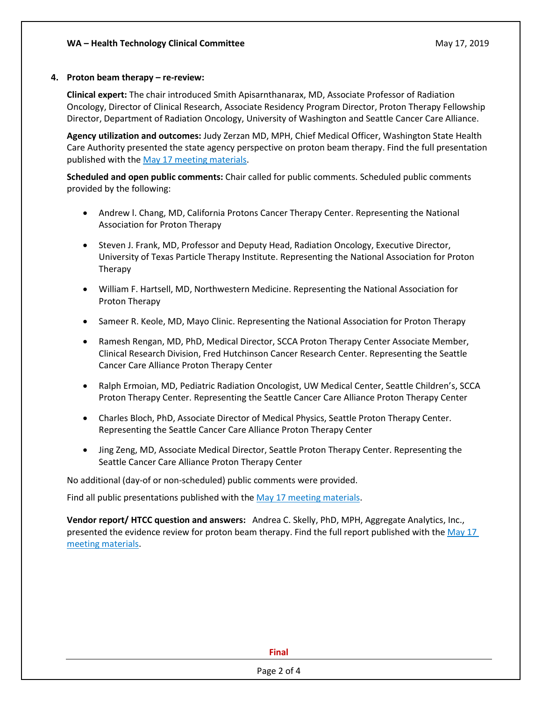#### **4. Proton beam therapy – re-review:**

**Clinical expert:** The chair introduced Smith Apisarnthanarax, MD, Associate Professor of Radiation Oncology, Director of Clinical Research, Associate Residency Program Director, Proton Therapy Fellowship Director, Department of Radiation Oncology, University of Washington and Seattle Cancer Care Alliance.

**Agency utilization and outcomes:** Judy Zerzan MD, MPH, Chief Medical Officer, Washington State Health Care Authority presented the state agency perspective on proton beam therapy. Find the full presentation published with the May 17 [meeting materials.](http://www.hca.wa.gov/about-hca/health-technology-assessment/meetings-and-materials)

**Scheduled and open public comments:** Chair called for public comments. Scheduled public comments provided by the following:

- Andrew l. Chang, MD, California Protons Cancer Therapy Center. Representing the National Association for Proton Therapy
- Steven J. Frank, MD, Professor and Deputy Head, Radiation Oncology, Executive Director, University of Texas Particle Therapy Institute. Representing the National Association for Proton Therapy
- William F. Hartsell, MD, Northwestern Medicine. Representing the National Association for Proton Therapy
- Sameer R. Keole, MD, Mayo Clinic. Representing the National Association for Proton Therapy
- Ramesh Rengan, MD, PhD, Medical Director, SCCA Proton Therapy Center Associate Member, Clinical Research Division, Fred Hutchinson Cancer Research Center. Representing the Seattle Cancer Care Alliance Proton Therapy Center
- Ralph Ermoian, MD, Pediatric Radiation Oncologist, UW Medical Center, Seattle Children's, SCCA Proton Therapy Center. Representing the Seattle Cancer Care Alliance Proton Therapy Center
- Charles Bloch, PhD, Associate Director of Medical Physics, Seattle Proton Therapy Center. Representing the Seattle Cancer Care Alliance Proton Therapy Center
- Jing Zeng, MD, Associate Medical Director, Seattle Proton Therapy Center. Representing the Seattle Cancer Care Alliance Proton Therapy Center

No additional (day-of or non-scheduled) public comments were provided.

Find all public presentations published with the May 17 [meeting materials.](http://www.hca.wa.gov/about-hca/health-technology-assessment/meetings-and-materials)

**Vendor report/ HTCC question and answers:** Andrea C. Skelly, PhD, MPH, Aggregate Analytics, Inc., presented the evidence review for proton beam therapy. Find the full report published with th[e May 17](http://www.hca.wa.gov/about-hca/health-technology-assessment/meetings-and-materials) [meeting materials.](http://www.hca.wa.gov/about-hca/health-technology-assessment/meetings-and-materials)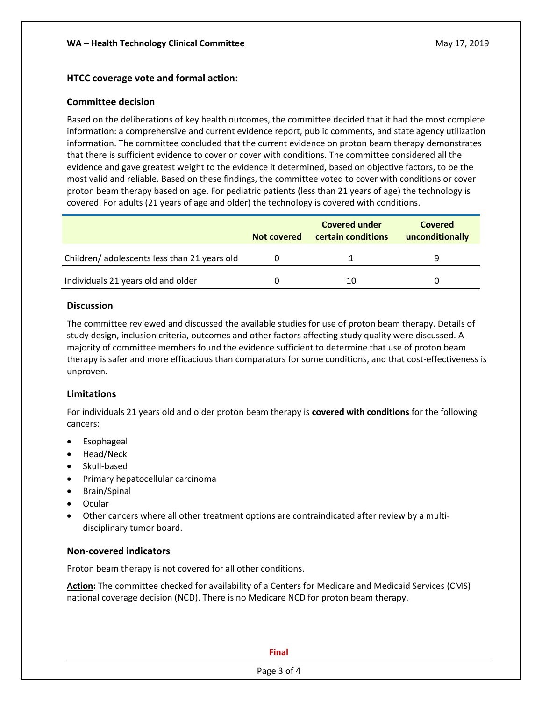## **HTCC coverage vote and formal action:**

#### **Committee decision**

Based on the deliberations of key health outcomes, the committee decided that it had the most complete information: a comprehensive and current evidence report, public comments, and state agency utilization information. The committee concluded that the current evidence on proton beam therapy demonstrates that there is sufficient evidence to cover or cover with conditions. The committee considered all the evidence and gave greatest weight to the evidence it determined, based on objective factors, to be the most valid and reliable. Based on these findings, the committee voted to cover with conditions or cover proton beam therapy based on age. For pediatric patients (less than 21 years of age) the technology is covered. For adults (21 years of age and older) the technology is covered with conditions.

|                                             | <b>Not covered</b> | <b>Covered under</b><br>certain conditions | Covered<br>unconditionally |
|---------------------------------------------|--------------------|--------------------------------------------|----------------------------|
| Children/adolescents less than 21 years old |                    |                                            |                            |
| Individuals 21 years old and older          |                    | 10                                         |                            |

#### **Discussion**

The committee reviewed and discussed the available studies for use of proton beam therapy. Details of study design, inclusion criteria, outcomes and other factors affecting study quality were discussed. A majority of committee members found the evidence sufficient to determine that use of proton beam therapy is safer and more efficacious than comparators for some conditions, and that cost-effectiveness is unproven.

#### **Limitations**

For individuals 21 years old and older proton beam therapy is **covered with conditions** for the following cancers:

- Esophageal
- Head/Neck
- Skull-based
- Primary hepatocellular carcinoma
- Brain/Spinal
- Ocular
- Other cancers where all other treatment options are contraindicated after review by a multidisciplinary tumor board.

## **Non-covered indicators**

Proton beam therapy is not covered for all other conditions.

**Action:** The committee checked for availability of a Centers for Medicare and Medicaid Services (CMS) national coverage decision (NCD). There is no Medicare NCD for proton beam therapy.

**Final**